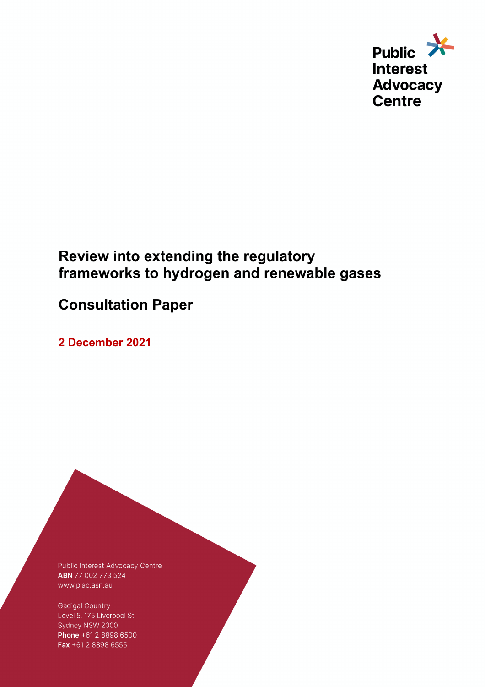

# **Review into extending the regulatory frameworks to hydrogen and renewable gases**

# **Consultation Paper**

**2 December 2021** 

Public Interest Advocacy Centre ABN 77 002 773 524 www.piac.asn.au

**Gadigal Country** Level 5, 175 Liverpool St Sydney NSW 2000 Phone +61 2 8898 6500 Fax +61 2 8898 6555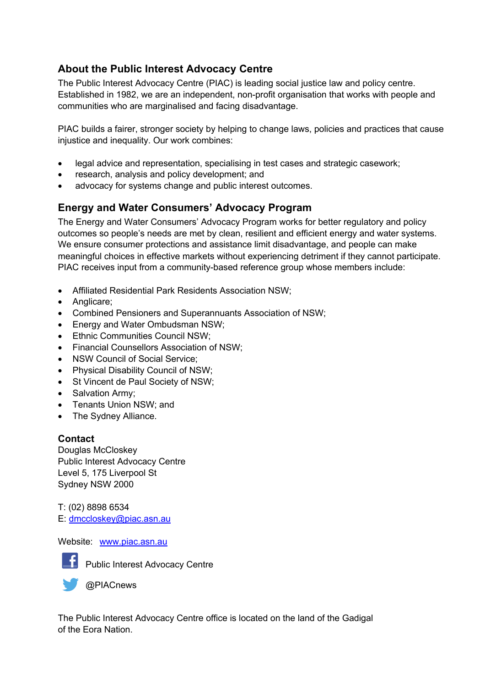### **About the Public Interest Advocacy Centre**

The Public Interest Advocacy Centre (PIAC) is leading social justice law and policy centre. Established in 1982, we are an independent, non-profit organisation that works with people and communities who are marginalised and facing disadvantage.

PIAC builds a fairer, stronger society by helping to change laws, policies and practices that cause injustice and inequality. Our work combines:

- legal advice and representation, specialising in test cases and strategic casework;
- research, analysis and policy development; and
- advocacy for systems change and public interest outcomes.

## **Energy and Water Consumers' Advocacy Program**

The Energy and Water Consumers' Advocacy Program works for better regulatory and policy outcomes so people's needs are met by clean, resilient and efficient energy and water systems. We ensure consumer protections and assistance limit disadvantage, and people can make meaningful choices in effective markets without experiencing detriment if they cannot participate. PIAC receives input from a community-based reference group whose members include:

- Affiliated Residential Park Residents Association NSW;
- Anglicare;
- Combined Pensioners and Superannuants Association of NSW;
- Energy and Water Ombudsman NSW;
- Ethnic Communities Council NSW;
- Financial Counsellors Association of NSW;
- NSW Council of Social Service;
- Physical Disability Council of NSW;
- St Vincent de Paul Society of NSW;
- Salvation Army;
- Tenants Union NSW; and
- The Sydney Alliance.

### **Contact**

Douglas McCloskey Public Interest Advocacy Centre Level 5, 175 Liverpool St Sydney NSW 2000

T: (02) 8898 6534 E: dmccloskey@piac.asn.au

Website: www.piac.asn.au



Public Interest Advocacy Centre

@PIACnews

The Public Interest Advocacy Centre office is located on the land of the Gadigal of the Eora Nation.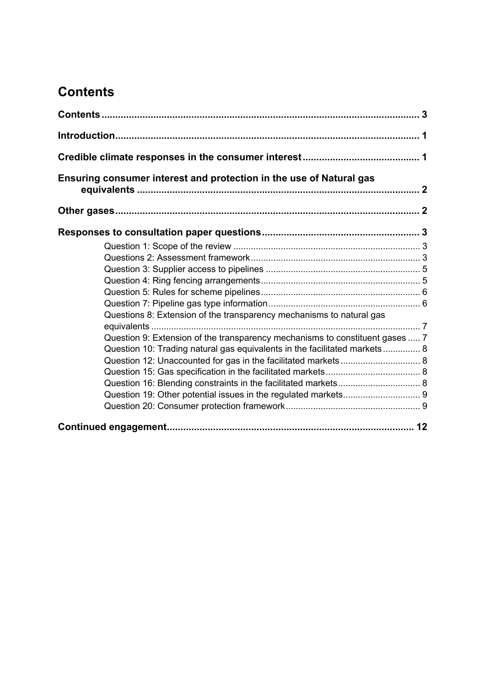# **Contents**

| Ensuring consumer interest and protection in the use of Natural gas          |  |
|------------------------------------------------------------------------------|--|
|                                                                              |  |
|                                                                              |  |
|                                                                              |  |
|                                                                              |  |
|                                                                              |  |
|                                                                              |  |
|                                                                              |  |
|                                                                              |  |
| Questions 8: Extension of the transparency mechanisms to natural gas         |  |
|                                                                              |  |
| Question 9: Extension of the transparency mechanisms to constituent gases  7 |  |
| Question 10: Trading natural gas equivalents in the facilitated markets 8    |  |
| Question 12: Unaccounted for gas in the facilitated markets 8                |  |
|                                                                              |  |
|                                                                              |  |
|                                                                              |  |
|                                                                              |  |
|                                                                              |  |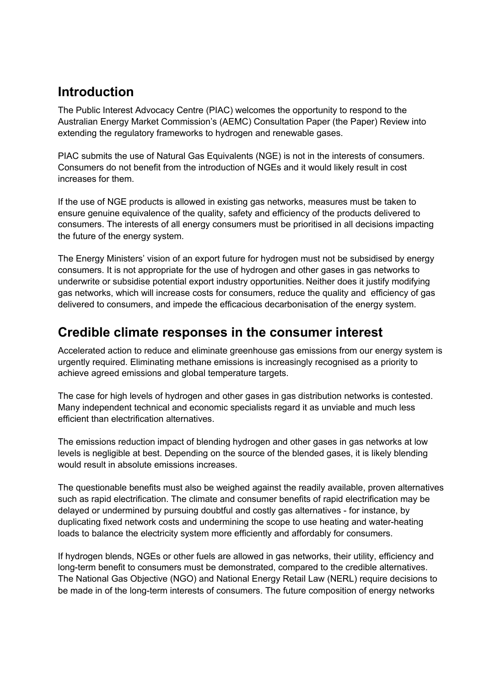# **Introduction**

The Public Interest Advocacy Centre (PIAC) welcomes the opportunity to respond to the Australian Energy Market Commission's (AEMC) Consultation Paper (the Paper) Review into extending the regulatory frameworks to hydrogen and renewable gases.

PIAC submits the use of Natural Gas Equivalents (NGE) is not in the interests of consumers. Consumers do not benefit from the introduction of NGEs and it would likely result in cost increases for them.

If the use of NGE products is allowed in existing gas networks, measures must be taken to ensure genuine equivalence of the quality, safety and efficiency of the products delivered to consumers. The interests of all energy consumers must be prioritised in all decisions impacting the future of the energy system.

The Energy Ministers' vision of an export future for hydrogen must not be subsidised by energy consumers. It is not appropriate for the use of hydrogen and other gases in gas networks to underwrite or subsidise potential export industry opportunities. Neither does it justify modifying gas networks, which will increase costs for consumers, reduce the quality and efficiency of gas delivered to consumers, and impede the efficacious decarbonisation of the energy system.

# **Credible climate responses in the consumer interest**

Accelerated action to reduce and eliminate greenhouse gas emissions from our energy system is urgently required. Eliminating methane emissions is increasingly recognised as a priority to achieve agreed emissions and global temperature targets.

The case for high levels of hydrogen and other gases in gas distribution networks is contested. Many independent technical and economic specialists regard it as unviable and much less efficient than electrification alternatives.

The emissions reduction impact of blending hydrogen and other gases in gas networks at low levels is negligible at best. Depending on the source of the blended gases, it is likely blending would result in absolute emissions increases.

The questionable benefits must also be weighed against the readily available, proven alternatives such as rapid electrification. The climate and consumer benefits of rapid electrification may be delayed or undermined by pursuing doubtful and costly gas alternatives - for instance, by duplicating fixed network costs and undermining the scope to use heating and water-heating loads to balance the electricity system more efficiently and affordably for consumers.

If hydrogen blends, NGEs or other fuels are allowed in gas networks, their utility, efficiency and long-term benefit to consumers must be demonstrated, compared to the credible alternatives. The National Gas Objective (NGO) and National Energy Retail Law (NERL) require decisions to be made in of the long-term interests of consumers. The future composition of energy networks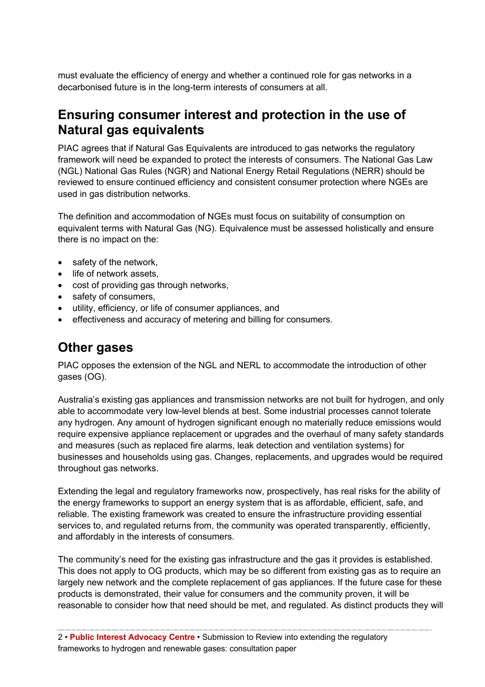must evaluate the efficiency of energy and whether a continued role for gas networks in a decarbonised future is in the long-term interests of consumers at all.

# **Ensuring consumer interest and protection in the use of Natural gas equivalents**

PIAC agrees that if Natural Gas Equivalents are introduced to gas networks the regulatory framework will need be expanded to protect the interests of consumers. The National Gas Law (NGL) National Gas Rules (NGR) and National Energy Retail Regulations (NERR) should be reviewed to ensure continued efficiency and consistent consumer protection where NGEs are used in gas distribution networks.

The definition and accommodation of NGEs must focus on suitability of consumption on equivalent terms with Natural Gas (NG). Equivalence must be assessed holistically and ensure there is no impact on the:

- safety of the network,
- life of network assets.
- cost of providing gas through networks,
- safety of consumers,
- utility, efficiency, or life of consumer appliances, and
- effectiveness and accuracy of metering and billing for consumers.

# **Other gases**

PIAC opposes the extension of the NGL and NERL to accommodate the introduction of other gases (OG).

Australia's existing gas appliances and transmission networks are not built for hydrogen, and only able to accommodate very low-level blends at best. Some industrial processes cannot tolerate any hydrogen. Any amount of hydrogen significant enough no materially reduce emissions would require expensive appliance replacement or upgrades and the overhaul of many safety standards and measures (such as replaced fire alarms, leak detection and ventilation systems) for businesses and households using gas. Changes, replacements, and upgrades would be required throughout gas networks.

Extending the legal and regulatory frameworks now, prospectively, has real risks for the ability of the energy frameworks to support an energy system that is as affordable, efficient, safe, and reliable. The existing framework was created to ensure the infrastructure providing essential services to, and regulated returns from, the community was operated transparently, efficiently, and affordably in the interests of consumers.

The community's need for the existing gas infrastructure and the gas it provides is established. This does not apply to OG products, which may be so different from existing gas as to require an largely new network and the complete replacement of gas appliances. If the future case for these products is demonstrated, their value for consumers and the community proven, it will be reasonable to consider how that need should be met, and regulated. As distinct products they will

2 • **Public Interest Advocacy Centre** • Submission to Review into extending the regulatory frameworks to hydrogen and renewable gases: consultation paper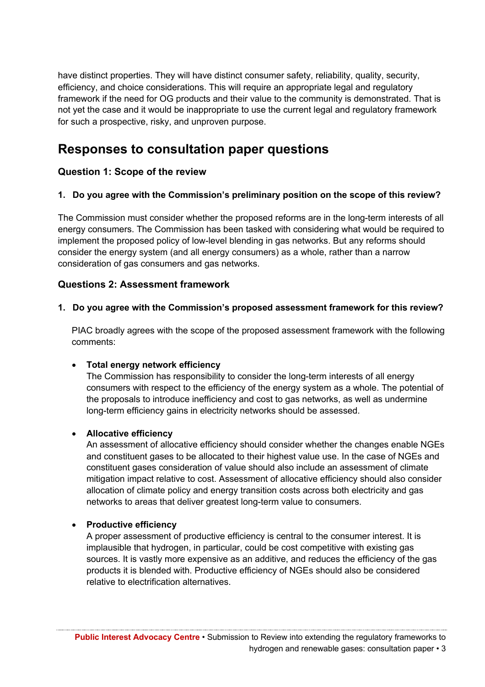have distinct properties. They will have distinct consumer safety, reliability, quality, security, efficiency, and choice considerations. This will require an appropriate legal and regulatory framework if the need for OG products and their value to the community is demonstrated. That is not yet the case and it would be inappropriate to use the current legal and regulatory framework for such a prospective, risky, and unproven purpose.

## **Responses to consultation paper questions**

### **Question 1: Scope of the review**

#### **1. Do you agree with the Commission's preliminary position on the scope of this review?**

The Commission must consider whether the proposed reforms are in the long-term interests of all energy consumers. The Commission has been tasked with considering what would be required to implement the proposed policy of low-level blending in gas networks. But any reforms should consider the energy system (and all energy consumers) as a whole, rather than a narrow consideration of gas consumers and gas networks.

#### **Questions 2: Assessment framework**

#### **1. Do you agree with the Commission's proposed assessment framework for this review?**

PIAC broadly agrees with the scope of the proposed assessment framework with the following comments:

#### • **Total energy network efficiency**

The Commission has responsibility to consider the long-term interests of all energy consumers with respect to the efficiency of the energy system as a whole. The potential of the proposals to introduce inefficiency and cost to gas networks, as well as undermine long-term efficiency gains in electricity networks should be assessed.

#### • **Allocative efficiency**

An assessment of allocative efficiency should consider whether the changes enable NGEs and constituent gases to be allocated to their highest value use. In the case of NGEs and constituent gases consideration of value should also include an assessment of climate mitigation impact relative to cost. Assessment of allocative efficiency should also consider allocation of climate policy and energy transition costs across both electricity and gas networks to areas that deliver greatest long-term value to consumers.

#### • **Productive efficiency**

A proper assessment of productive efficiency is central to the consumer interest. It is implausible that hydrogen, in particular, could be cost competitive with existing gas sources. It is vastly more expensive as an additive, and reduces the efficiency of the gas products it is blended with. Productive efficiency of NGEs should also be considered relative to electrification alternatives.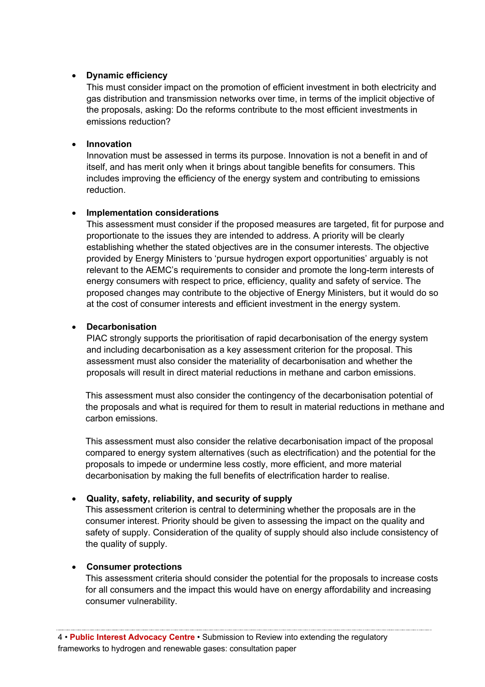#### • **Dynamic efficiency**

This must consider impact on the promotion of efficient investment in both electricity and gas distribution and transmission networks over time, in terms of the implicit objective of the proposals, asking: Do the reforms contribute to the most efficient investments in emissions reduction?

#### • **Innovation**

Innovation must be assessed in terms its purpose. Innovation is not a benefit in and of itself, and has merit only when it brings about tangible benefits for consumers. This includes improving the efficiency of the energy system and contributing to emissions reduction.

#### • **Implementation considerations**

This assessment must consider if the proposed measures are targeted, fit for purpose and proportionate to the issues they are intended to address. A priority will be clearly establishing whether the stated objectives are in the consumer interests. The objective provided by Energy Ministers to 'pursue hydrogen export opportunities' arguably is not relevant to the AEMC's requirements to consider and promote the long-term interests of energy consumers with respect to price, efficiency, quality and safety of service. The proposed changes may contribute to the objective of Energy Ministers, but it would do so at the cost of consumer interests and efficient investment in the energy system.

#### • **Decarbonisation**

PIAC strongly supports the prioritisation of rapid decarbonisation of the energy system and including decarbonisation as a key assessment criterion for the proposal. This assessment must also consider the materiality of decarbonisation and whether the proposals will result in direct material reductions in methane and carbon emissions.

This assessment must also consider the contingency of the decarbonisation potential of the proposals and what is required for them to result in material reductions in methane and carbon emissions.

This assessment must also consider the relative decarbonisation impact of the proposal compared to energy system alternatives (such as electrification) and the potential for the proposals to impede or undermine less costly, more efficient, and more material decarbonisation by making the full benefits of electrification harder to realise.

#### • **Quality, safety, reliability, and security of supply**

This assessment criterion is central to determining whether the proposals are in the consumer interest. Priority should be given to assessing the impact on the quality and safety of supply. Consideration of the quality of supply should also include consistency of the quality of supply.

#### • **Consumer protections**

This assessment criteria should consider the potential for the proposals to increase costs for all consumers and the impact this would have on energy affordability and increasing consumer vulnerability.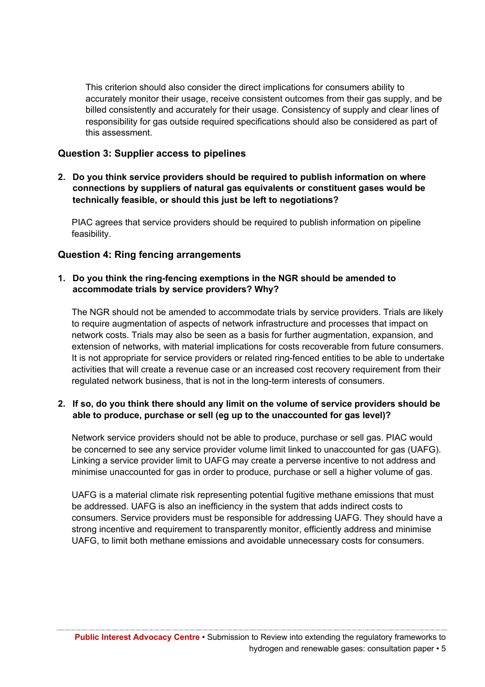This criterion should also consider the direct implications for consumers ability to accurately monitor their usage, receive consistent outcomes from their gas supply, and be billed consistently and accurately for their usage. Consistency of supply and clear lines of responsibility for gas outside required specifications should also be considered as part of this assessment.

#### **Question 3: Supplier access to pipelines**

**2. Do you think service providers should be required to publish information on where connections by suppliers of natural gas equivalents or constituent gases would be technically feasible, or should this just be left to negotiations?** 

PIAC agrees that service providers should be required to publish information on pipeline feasibility.

#### **Question 4: Ring fencing arrangements**

#### **1. Do you think the ring-fencing exemptions in the NGR should be amended to accommodate trials by service providers? Why?**

The NGR should not be amended to accommodate trials by service providers. Trials are likely to require augmentation of aspects of network infrastructure and processes that impact on network costs. Trials may also be seen as a basis for further augmentation, expansion, and extension of networks, with material implications for costs recoverable from future consumers. It is not appropriate for service providers or related ring-fenced entities to be able to undertake activities that will create a revenue case or an increased cost recovery requirement from their regulated network business, that is not in the long-term interests of consumers.

#### **2. If so, do you think there should any limit on the volume of service providers should be able to produce, purchase or sell (eg up to the unaccounted for gas level)?**

Network service providers should not be able to produce, purchase or sell gas. PIAC would be concerned to see any service provider volume limit linked to unaccounted for gas (UAFG). Linking a service provider limit to UAFG may create a perverse incentive to not address and minimise unaccounted for gas in order to produce, purchase or sell a higher volume of gas.

UAFG is a material climate risk representing potential fugitive methane emissions that must be addressed. UAFG is also an inefficiency in the system that adds indirect costs to consumers. Service providers must be responsible for addressing UAFG. They should have a strong incentive and requirement to transparently monitor, efficiently address and minimise UAFG, to limit both methane emissions and avoidable unnecessary costs for consumers.

**Public Interest Advocacy Centre** • Submission to Review into extending the regulatory frameworks to hydrogen and renewable gases: consultation paper • 5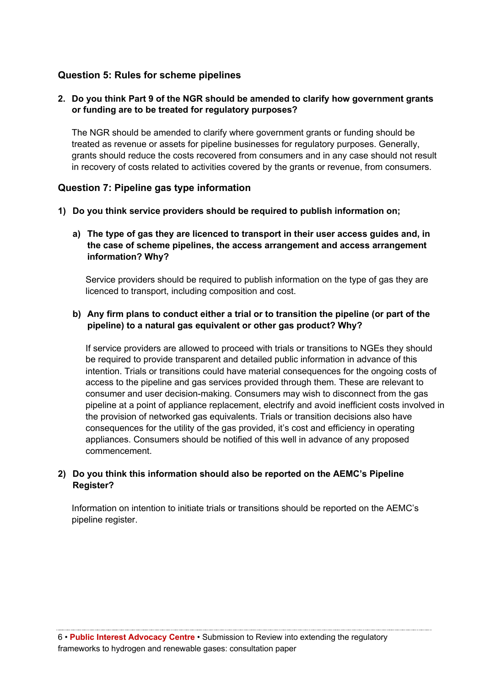### **Question 5: Rules for scheme pipelines**

#### **2. Do you think Part 9 of the NGR should be amended to clarify how government grants or funding are to be treated for regulatory purposes?**

The NGR should be amended to clarify where government grants or funding should be treated as revenue or assets for pipeline businesses for regulatory purposes. Generally, grants should reduce the costs recovered from consumers and in any case should not result in recovery of costs related to activities covered by the grants or revenue, from consumers.

#### **Question 7: Pipeline gas type information**

- **1) Do you think service providers should be required to publish information on;**
	- **a) The type of gas they are licenced to transport in their user access guides and, in the case of scheme pipelines, the access arrangement and access arrangement information? Why?**

Service providers should be required to publish information on the type of gas they are licenced to transport, including composition and cost.

#### **b) Any firm plans to conduct either a trial or to transition the pipeline (or part of the pipeline) to a natural gas equivalent or other gas product? Why?**

If service providers are allowed to proceed with trials or transitions to NGEs they should be required to provide transparent and detailed public information in advance of this intention. Trials or transitions could have material consequences for the ongoing costs of access to the pipeline and gas services provided through them. These are relevant to consumer and user decision-making. Consumers may wish to disconnect from the gas pipeline at a point of appliance replacement, electrify and avoid inefficient costs involved in the provision of networked gas equivalents. Trials or transition decisions also have consequences for the utility of the gas provided, it's cost and efficiency in operating appliances. Consumers should be notified of this well in advance of any proposed commencement.

#### **2) Do you think this information should also be reported on the AEMC's Pipeline Register?**

Information on intention to initiate trials or transitions should be reported on the AEMC's pipeline register.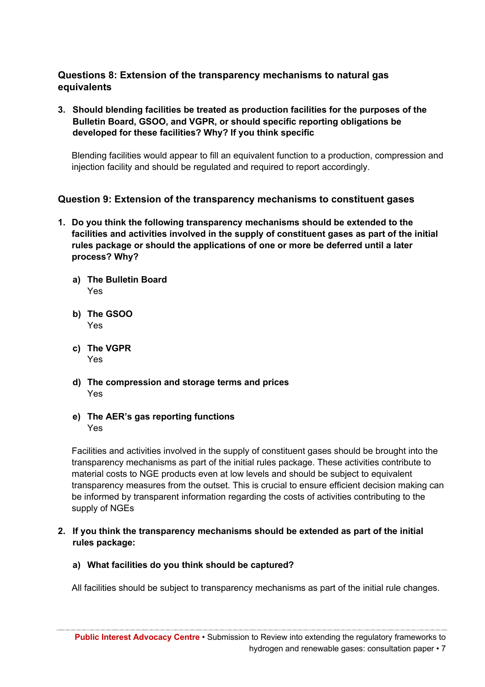### **Questions 8: Extension of the transparency mechanisms to natural gas equivalents**

**3. Should blending facilities be treated as production facilities for the purposes of the Bulletin Board, GSOO, and VGPR, or should specific reporting obligations be developed for these facilities? Why? If you think specific** 

Blending facilities would appear to fill an equivalent function to a production, compression and injection facility and should be regulated and required to report accordingly.

### **Question 9: Extension of the transparency mechanisms to constituent gases**

- **1. Do you think the following transparency mechanisms should be extended to the facilities and activities involved in the supply of constituent gases as part of the initial rules package or should the applications of one or more be deferred until a later process? Why?**
	- **a) The Bulletin Board** Yes
	- **b) The GSOO** Yes
	- **c) The VGPR** Yes
	- **d) The compression and storage terms and prices** Yes
	- **e) The AER's gas reporting functions** Yes

Facilities and activities involved in the supply of constituent gases should be brought into the transparency mechanisms as part of the initial rules package. These activities contribute to material costs to NGE products even at low levels and should be subject to equivalent transparency measures from the outset. This is crucial to ensure efficient decision making can be informed by transparent information regarding the costs of activities contributing to the supply of NGEs

- **2. If you think the transparency mechanisms should be extended as part of the initial rules package:**
	- **a) What facilities do you think should be captured?**

All facilities should be subject to transparency mechanisms as part of the initial rule changes.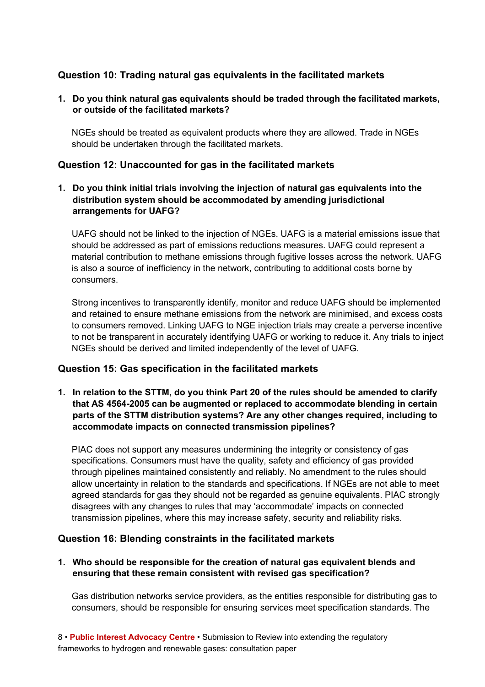### **Question 10: Trading natural gas equivalents in the facilitated markets**

#### **1. Do you think natural gas equivalents should be traded through the facilitated markets, or outside of the facilitated markets?**

NGEs should be treated as equivalent products where they are allowed. Trade in NGEs should be undertaken through the facilitated markets.

### **Question 12: Unaccounted for gas in the facilitated markets**

**1. Do you think initial trials involving the injection of natural gas equivalents into the distribution system should be accommodated by amending jurisdictional arrangements for UAFG?** 

UAFG should not be linked to the injection of NGEs. UAFG is a material emissions issue that should be addressed as part of emissions reductions measures. UAFG could represent a material contribution to methane emissions through fugitive losses across the network. UAFG is also a source of inefficiency in the network, contributing to additional costs borne by consumers.

Strong incentives to transparently identify, monitor and reduce UAFG should be implemented and retained to ensure methane emissions from the network are minimised, and excess costs to consumers removed. Linking UAFG to NGE injection trials may create a perverse incentive to not be transparent in accurately identifying UAFG or working to reduce it. Any trials to inject NGEs should be derived and limited independently of the level of UAFG.

#### **Question 15: Gas specification in the facilitated markets**

**1. In relation to the STTM, do you think Part 20 of the rules should be amended to clarify that AS 4564-2005 can be augmented or replaced to accommodate blending in certain parts of the STTM distribution systems? Are any other changes required, including to accommodate impacts on connected transmission pipelines?** 

PIAC does not support any measures undermining the integrity or consistency of gas specifications. Consumers must have the quality, safety and efficiency of gas provided through pipelines maintained consistently and reliably. No amendment to the rules should allow uncertainty in relation to the standards and specifications. If NGEs are not able to meet agreed standards for gas they should not be regarded as genuine equivalents. PIAC strongly disagrees with any changes to rules that may 'accommodate' impacts on connected transmission pipelines, where this may increase safety, security and reliability risks.

### **Question 16: Blending constraints in the facilitated markets**

**1. Who should be responsible for the creation of natural gas equivalent blends and ensuring that these remain consistent with revised gas specification?** 

Gas distribution networks service providers, as the entities responsible for distributing gas to consumers, should be responsible for ensuring services meet specification standards. The

8 • **Public Interest Advocacy Centre** • Submission to Review into extending the regulatory frameworks to hydrogen and renewable gases: consultation paper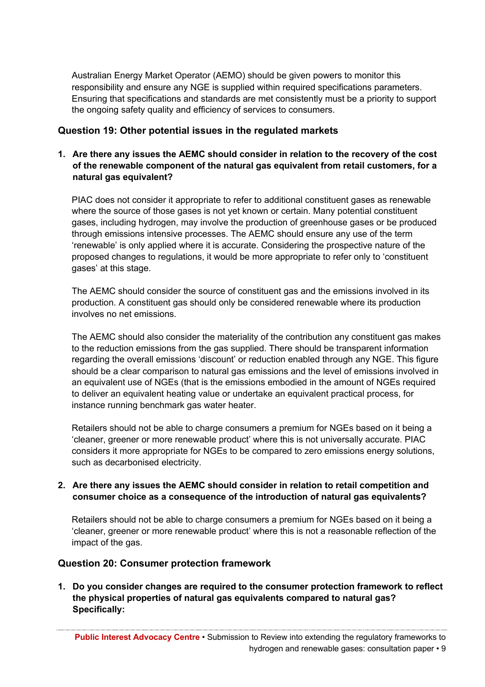Australian Energy Market Operator (AEMO) should be given powers to monitor this responsibility and ensure any NGE is supplied within required specifications parameters. Ensuring that specifications and standards are met consistently must be a priority to support the ongoing safety quality and efficiency of services to consumers.

#### **Question 19: Other potential issues in the regulated markets**

#### **1. Are there any issues the AEMC should consider in relation to the recovery of the cost of the renewable component of the natural gas equivalent from retail customers, for a natural gas equivalent?**

PIAC does not consider it appropriate to refer to additional constituent gases as renewable where the source of those gases is not yet known or certain. Many potential constituent gases, including hydrogen, may involve the production of greenhouse gases or be produced through emissions intensive processes. The AEMC should ensure any use of the term 'renewable' is only applied where it is accurate. Considering the prospective nature of the proposed changes to regulations, it would be more appropriate to refer only to 'constituent gases' at this stage.

The AEMC should consider the source of constituent gas and the emissions involved in its production. A constituent gas should only be considered renewable where its production involves no net emissions.

The AEMC should also consider the materiality of the contribution any constituent gas makes to the reduction emissions from the gas supplied. There should be transparent information regarding the overall emissions 'discount' or reduction enabled through any NGE. This figure should be a clear comparison to natural gas emissions and the level of emissions involved in an equivalent use of NGEs (that is the emissions embodied in the amount of NGEs required to deliver an equivalent heating value or undertake an equivalent practical process, for instance running benchmark gas water heater.

Retailers should not be able to charge consumers a premium for NGEs based on it being a 'cleaner, greener or more renewable product' where this is not universally accurate. PIAC considers it more appropriate for NGEs to be compared to zero emissions energy solutions, such as decarbonised electricity.

#### **2. Are there any issues the AEMC should consider in relation to retail competition and consumer choice as a consequence of the introduction of natural gas equivalents?**

Retailers should not be able to charge consumers a premium for NGEs based on it being a 'cleaner, greener or more renewable product' where this is not a reasonable reflection of the impact of the gas.

#### **Question 20: Consumer protection framework**

**1. Do you consider changes are required to the consumer protection framework to reflect the physical properties of natural gas equivalents compared to natural gas? Specifically:**

**Public Interest Advocacy Centre** • Submission to Review into extending the regulatory frameworks to hydrogen and renewable gases: consultation paper • 9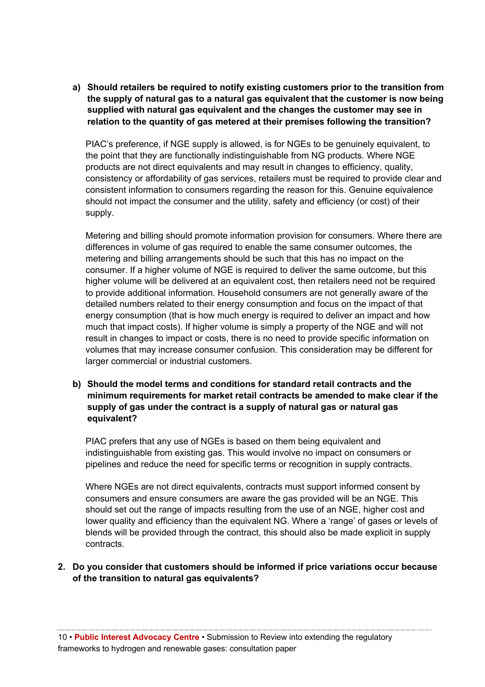**a) Should retailers be required to notify existing customers prior to the transition from the supply of natural gas to a natural gas equivalent that the customer is now being supplied with natural gas equivalent and the changes the customer may see in relation to the quantity of gas metered at their premises following the transition?** 

PIAC's preference, if NGE supply is allowed, is for NGEs to be genuinely equivalent, to the point that they are functionally indistinguishable from NG products. Where NGE products are not direct equivalents and may result in changes to efficiency, quality, consistency or affordability of gas services, retailers must be required to provide clear and consistent information to consumers regarding the reason for this. Genuine equivalence should not impact the consumer and the utility, safety and efficiency (or cost) of their supply.

Metering and billing should promote information provision for consumers. Where there are differences in volume of gas required to enable the same consumer outcomes, the metering and billing arrangements should be such that this has no impact on the consumer. If a higher volume of NGE is required to deliver the same outcome, but this higher volume will be delivered at an equivalent cost, then retailers need not be required to provide additional information. Household consumers are not generally aware of the detailed numbers related to their energy consumption and focus on the impact of that energy consumption (that is how much energy is required to deliver an impact and how much that impact costs). If higher volume is simply a property of the NGE and will not result in changes to impact or costs, there is no need to provide specific information on volumes that may increase consumer confusion. This consideration may be different for larger commercial or industrial customers.

**b) Should the model terms and conditions for standard retail contracts and the minimum requirements for market retail contracts be amended to make clear if the supply of gas under the contract is a supply of natural gas or natural gas equivalent?** 

PIAC prefers that any use of NGEs is based on them being equivalent and indistinguishable from existing gas. This would involve no impact on consumers or pipelines and reduce the need for specific terms or recognition in supply contracts.

Where NGEs are not direct equivalents, contracts must support informed consent by consumers and ensure consumers are aware the gas provided will be an NGE. This should set out the range of impacts resulting from the use of an NGE, higher cost and lower quality and efficiency than the equivalent NG. Where a 'range' of gases or levels of blends will be provided through the contract, this should also be made explicit in supply contracts.

#### **2. Do you consider that customers should be informed if price variations occur because of the transition to natural gas equivalents?**

10 • **Public Interest Advocacy Centre** • Submission to Review into extending the regulatory frameworks to hydrogen and renewable gases: consultation paper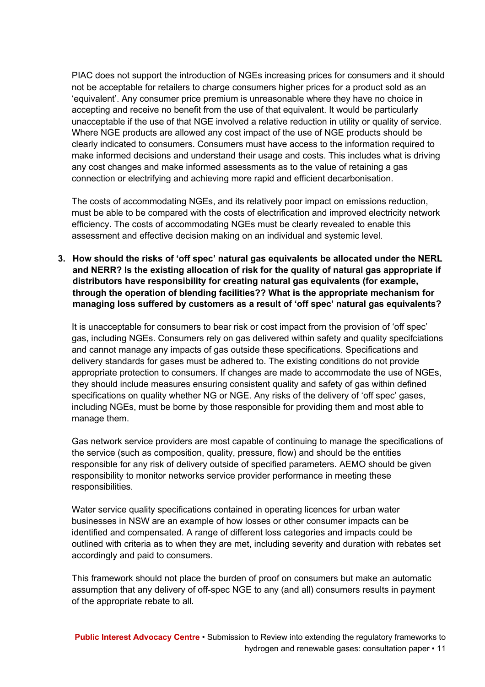PIAC does not support the introduction of NGEs increasing prices for consumers and it should not be acceptable for retailers to charge consumers higher prices for a product sold as an 'equivalent'. Any consumer price premium is unreasonable where they have no choice in accepting and receive no benefit from the use of that equivalent. It would be particularly unacceptable if the use of that NGE involved a relative reduction in utility or quality of service. Where NGE products are allowed any cost impact of the use of NGE products should be clearly indicated to consumers. Consumers must have access to the information required to make informed decisions and understand their usage and costs. This includes what is driving any cost changes and make informed assessments as to the value of retaining a gas connection or electrifying and achieving more rapid and efficient decarbonisation.

The costs of accommodating NGEs, and its relatively poor impact on emissions reduction, must be able to be compared with the costs of electrification and improved electricity network efficiency. The costs of accommodating NGEs must be clearly revealed to enable this assessment and effective decision making on an individual and systemic level.

**3. How should the risks of 'off spec' natural gas equivalents be allocated under the NERL and NERR? Is the existing allocation of risk for the quality of natural gas appropriate if distributors have responsibility for creating natural gas equivalents (for example, through the operation of blending facilities?? What is the appropriate mechanism for managing loss suffered by customers as a result of 'off spec' natural gas equivalents?** 

It is unacceptable for consumers to bear risk or cost impact from the provision of 'off spec' gas, including NGEs. Consumers rely on gas delivered within safety and quality specifciations and cannot manage any impacts of gas outside these specifications. Specifications and delivery standards for gases must be adhered to. The existing conditions do not provide appropriate protection to consumers. If changes are made to accommodate the use of NGEs, they should include measures ensuring consistent quality and safety of gas within defined specifications on quality whether NG or NGE. Any risks of the delivery of 'off spec' gases, including NGEs, must be borne by those responsible for providing them and most able to manage them.

Gas network service providers are most capable of continuing to manage the specifications of the service (such as composition, quality, pressure, flow) and should be the entities responsible for any risk of delivery outside of specified parameters. AEMO should be given responsibility to monitor networks service provider performance in meeting these responsibilities.

Water service quality specifications contained in operating licences for urban water businesses in NSW are an example of how losses or other consumer impacts can be identified and compensated. A range of different loss categories and impacts could be outlined with criteria as to when they are met, including severity and duration with rebates set accordingly and paid to consumers.

This framework should not place the burden of proof on consumers but make an automatic assumption that any delivery of off-spec NGE to any (and all) consumers results in payment of the appropriate rebate to all.